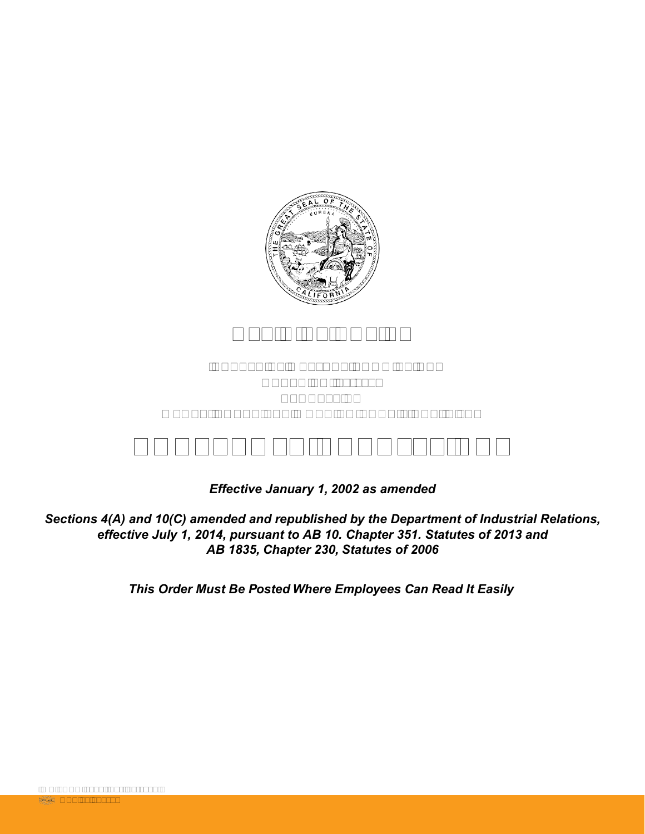

## **OFFICIAL NOTICE**

 **WAGES, HOURS AND WORKING CONDITIONS IN THE INDUSTRIAL WELFARE COMMISSION ORDER NO. 15-2001 REGULATING**

# **HOUSEHOLD OCCUPATIONS**

 *Effective January 1, 2002 as amended*

 *effective July 1, 2014, pursuant to AB 10. Chapter 351. Statutes of 2013 and AB 1835, Chapter 230, Statutes of 2006 Sections 4(A) and 10(C) amended and republished by the Department of Industrial Relations,*

 *This Order Must Be Posted Where Employees Can Read It Easily*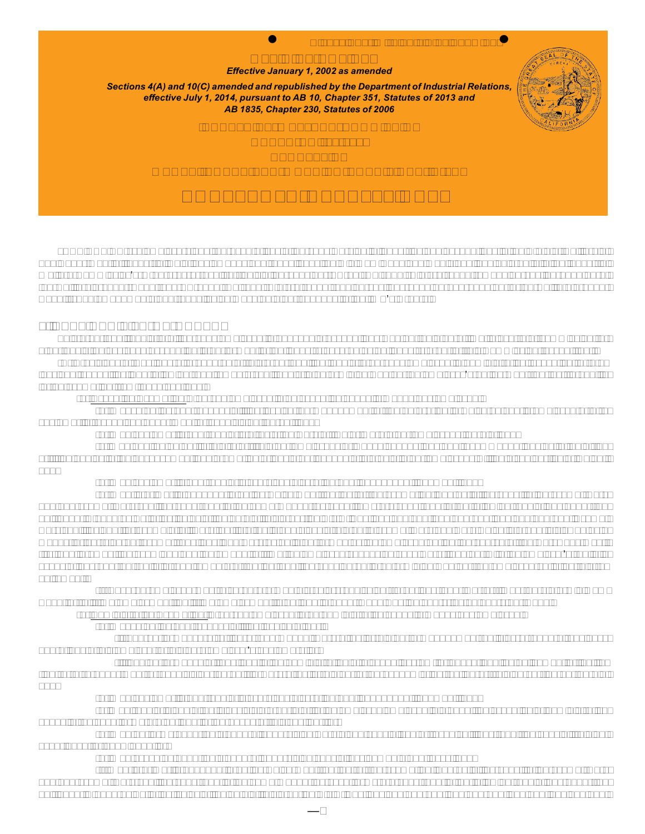**• Please Post With This Side Showing •**

### **OFFICIAL NOTICE**

 *Effective January 1, 2002 as amended* 

 *Sections 4(A) and 10(C) amended and republished by the Department of Industrial Relations, effective July 1, 2014, pursuant to AB 10, Chapter 351, Statutes of 2013 and AB 1835, Chapter 230, Statutes of 2006*



 **ORDER NO. 15-2001 WAGES, HOURS AND WORKING CONDITIONS IN THE INDUSTRIAL WELFARE COMMISSION REGULATING**

**HOUSEHOLD OCCUPATIONS** 

 **TAKE NOTICE:** To employers and representatives of persons working in industries and occupations in the State of California: The Department of Industrial Relations amends and republishes the minimum wage and meals and lodging credits in the Industrial Welfare Commission's Orders as a result of legislation enacted (AB 10, Ch. 351, Stats of 2013, amending section 1182.12 of the California Labor Code, and AB 1835, Ch. 230, Stats of 2006, adding sections 1182.12 and 1182.13 to the California Labor Code .) The amendments and republishing make no other changes to the IWC's Orders.

### **1. APPLICABILITY OF ORDER**

This order shall apply to all persons employed in household occupations whether paid on a time, piece rate, commission, or other basis, unless such occupation is performed for an industry covered by an industry order of this Commission, except that:

 (A) Provisions of Sections 3 through 12 of this order shall not apply to persons employed in administrative, executive, or pro- fessional capacities. The following requirements shall apply in determining whether an employee's duties meet the test to qualify for an exemption from those sections:

(1) Executive Exemption A person employed in an executive capacity means any employee:

 (a) Whose duties and responsibilities involve the management of the enterprise in which he/she is employed or of a customarily recognized department or subdivision thereof; and

(b) Who customarily and regularly directs the work of two or more other employees therein; and

 (c) Who has the authority to hire or fire other employees or whose suggestions and recommendations as to the hiring or firing and as to the advancement and promotion or any other change of status of other employees will be given particular weight; and

(d) Who customarily and regularly exercises discretion and independent judgment; and

 (e) Who is primarily engaged in duties which meet the test of the exemption. The activities constituting exempt work and non-exempt work shall be construed in the same manner as such items are construed in the following regulations under the Fair Labor Standards Act effective as of the date of this order: 29 C.F.R. Sections 541.102, 541.104-111, and 541.115-116. Exempt work shall include, for example, all work that is directly and closely related to exempt work and work which is properly viewed as a means for carrying out exempt functions. The work actually performed by the employee during the course of the workweek must, first and foremost, be examined and the amount of time the employee spends on such work, together with the employer's realistic expectations and the realistic requirements of the job, shall be considered in determining whether the employee satisfies this requirement.

 (f) Such an employee must also earn a monthly salary equivalent to no less than two (2) times the state minimum wage for full-time employment. Full-time employment is defined in Labor Code Section 515(c) as 40 hours per week.

(2) Administrative Exemption. A person employed in an administrative capacity means any employee:

(a) Whose duties and responsibilities involve either:

 (i) The performance of office or non-manual work directly related to management policies or general business operations of his employer or his/hers employer's customers; or

 (ii) The performance of functions in the administration of a school system, or educational establishment or institu- tion, or of a department or subdivision thereof, in work directly related to the academic instruction or training carried on therein; and

(b) Who customarily and regularly exercises discretion and independent judgment; and

 (c) Who regularly and directly assists a proprietor, or an employee employed in a bona fide executive or administrative capacity (as such terms are defined for purposes of this section); or

 (d) Who performs under only general supervision work along specialized or technical lines requiring special training, experience, or knowledge; or

(e) Who executes under only general supervision special assignments and tasks; and

 (f) Who is primarily engaged in duties which meet the test of the exemption. The activities constituting exempt work and non-exempt work shall be construed in the same manner as such terms are construed in the following regulations under the Fair Labor Standards Act effective as of the date of this order 29 C.F.R. Sections 541.201-205, 541.207-208, 541.210, and 541.215.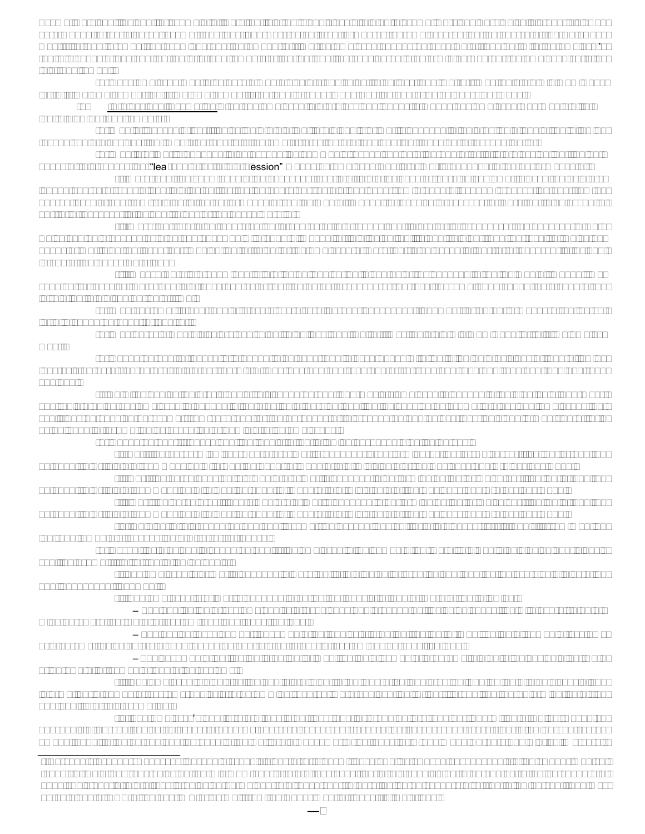Exempt work shall include, for example, all work that is directly and closely related to exempt work and work which is properly viewed as a means for carrying out exempt functions. The work actually performed by the employee during the course of the workweek must, first and foremost, be examined and the amount of time the employee spends on such work, together with the employer's realistic expectations and the realistic requirements of the job, shall be considered in determining whether the employee satisfies this requirement.

(g) Such employee must also earn a monthly salary equivalent to no less than two (2) times the state minimum wage for full-time employment. Full-time employment is defined in Labor Code Section 515(c) as 40 hours per week.

(3) Professional Exemption A person employed in a professional capacity means any employee who meets all of the fol- lowing requirements:

(a) Who is licensed or certified by the State of California and is primarily engaged in the practice of one of the following recognized professions: law, medicine, dentistry, optometry, architecture, engineering, teaching, or accounting; or

(b) Who is primarily engaged in an occupation commonly recognized as a learned or artistic profession. For the purposes of this subsection, "learned or artistic profession" means an employee who is primarily engaged in the performance of:

(i) Work requiring knowledge of an advanced type in a field or science or learning customarily acquired by a prolonged course of specialized intellectual instruction and study, as distinguished from a general academic education and from an apprenticeship, and from training in the performance of routine mental, manual, or physical processes, or work that is an essential part of or necessarily incident to any of the above work; or

(ii) Work that is original and creative in character in a recognized field of artistic endeavor (as opposed to work which can be produced by a person endowed with general manual or intellectual ability and training), and the result of which depends primarily on the invention, imagination, or talent of the employee or work that is an essential part of or necessarily incident to any of the above work; and

(iii) Whose work is predominantly intellectual and varied in character (as opposed to routine mental, manual, mechanical, or physical work) and is of such character that the output produced or the result accomplished cannot be standardized in relation to a given period of time.

(c) Who customarily and regularly exercises discretion and independent judgment in the performance of duties set forth in subparagraphs (a) and (b).

(d) Who earns a monthly salary equivalent to no less than two (2) times the state minimum wage for full-time employment.

(e) Subparagraph (b) above is intended to be construed in accordance with the following provisions of federal law as they existed as of the date of this order: 29 C.F.R. Sections 541.207, 541.301(a)-(d), 541.302, 541.306, 541.307, 541.308, and 541.310.

(f) Notwithstanding the provisions of this subparagraph, pharmacists employed to engage in the practice of pharmacy, and registered nurses employed to engage in the practice of nursing, shall not be considered exempt professional employees, nor shall they be considered exempt from coverage for the purposes of this subparagraph unless they individually meet the criteria established for exemption as executive or administrative employees.

(g) Subparagraph (f) above shall not apply to the following advanced practice nurses:

(i) Certified nurse midwives who are primarily engaged in performing duties for which certification is required pursuant to Article 2.5 (commencing with Section 2746) of Chapter 6 of Division 2 of the Business and Professions Code.

(ii) Certified nurse anesthetists who are primarily engaged in performing duties for which certification is required pursuant to Article 7 (commencing with Section 2825) of Chapter 6 of Division 2 of the Business and Professions Code.

(iii) Certified nurse practitioners who are primarily engaged in performing duties for which certification is required pursuant to Article 8 (commencing with Section 2834) of Chapter 6 of Division 2 of the Business and Professions Code.

(iv) Nothing in this subparagraph shall exempt the occupations set forth in clauses (i), (ii), and (iii) from meeting the requirements of subsection  $1(A)(3)(a)-(d)$  above.

(h) Except, as provided in subparagraph (i), an employee in the computer software field who is paid on an hourly basis shall be exempt, if all of the following apply:

(i) The employee is primarily engaged in work that is intellectual or creative and requires the exercise of discretion and independent judgment.

(ii) The employee is primarily engaged in duties that consist of one or more of the following:

– The application of systems analysis techniques and procedures, including consulting with users, to determine hardware, software, or system functional specifications.

– The design, development, documentation, analysis, creation, testing, or modification of computer systems or programs, including prototypes, based on and related to user or system design specifications.

–The documentation, testing, creation, or modification of computer programs related to the design of software or hardware for computer operating systems.

(iii) The employee is highly skilled and is proficient in the theoretical and practical application of highly specialized information to computer systems analysis, programming, and software engineering. A job title shall not be determinative of the applicability of this exemption.

(iv) The employee's hourly rate of pay is not less than forty-one dollars (\$41.00). The Office of Policy, Research and Legislation shall adjust this pay rate on October 1 of each year to be effective on January 1 of the following year by an amount equal to the percentage increase in the California Consumer Price Index for Urban Wage Earners and Clerical Workers.\*

<sup>\*</sup> Pursuant to Labor Code section 515.5, subdivision (a)(4), the Office of Policy, Research and Legislation, Department of Industrial Relations, has adjusted the minimum hourly rate of pay specified in this subdivision to be \$49.77, effective January 1, 2007. This hourly rate of pay is adjusted on October 1 of each year to be effective on January 1, of the following year, and may be obtaine[d at www.dir.ca.gov/IWC o](http://www.dir.ca.gov/IWC)r by mail from the Department of Industrial Relations.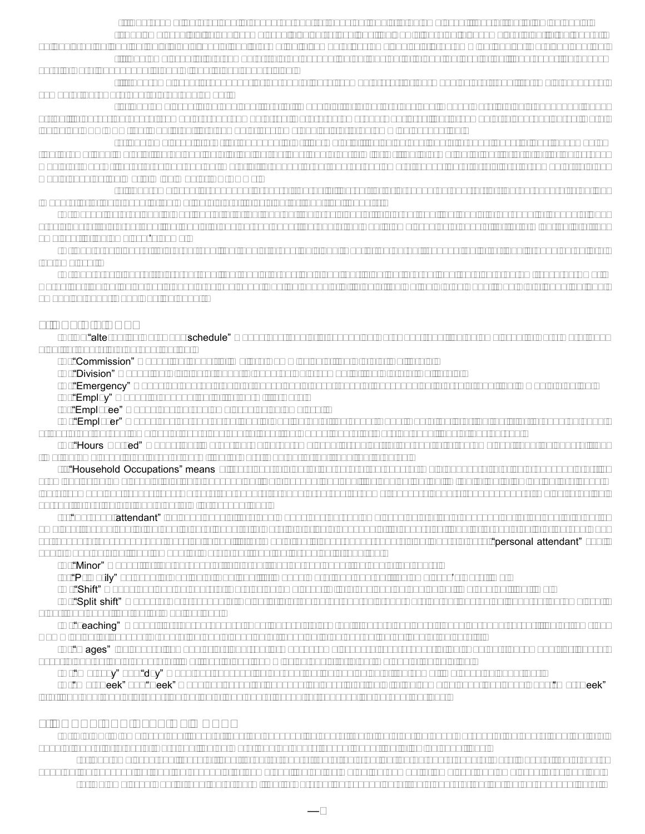(i) The exemption provided in subparagraph (h) does not apply to an employee if any of the following apply:

 (i)The employee is a trainee oremployee in an entry-level position whois learning to become proficient in the theoreti-cal and practical application of highly specialized information to computer systems analysis, programming, and software engineering.

(ii) The employee is in a computer-related occupation but has not attained the level of skill and expertise necessary to work independently and without close supervision.

 (iii) The employee is engaged in the operation of computers or in the manufacture, repair, or maintenance of computer hardware and related equipment.

 (iv) The employee is an engineer, drafter, machinist, or other professional whose work is highly dependent upon or facilitated by the use of computers and computer software programs and who is skilled in computer-aided design software, including CAD/CAM, but who is not in a computer systems analysis or programming occupation.

 tion, promotional material, setup and installation instructions, and other similar written information, either for print or for on screen media or who writes or provides content material intended to be read by customers, subscribers, or visitors to computer-related media such as the World Wide Web or CD-ROMs. (v) The employee is a writer engaged in writing material, including box labels, product descriptions, documenta-

 (vi) The employee is engaged in any of the activities set forth in subparagraph (h) for the purpose of creating imagery for effects used in the motion picture, television, or theatrical industry.

 (B) Except as provided in Sections 1, 2, 4, 10, and 15, the provisions of this order shall not apply to personal attendants. The provisions of this order shall not apply to any person under the age of 18 who is employed as a baby sitter for a minor child of the employer in the employer's home.

 (C) The provisions of this order shall not apply to any individual who is the parent, spouse, child, or legally adopted child of the employer.

 (D) The provisions of this order shall not apply to any individual participating in a national service program, such as Ameri- Corps, carried out using assistance provided under Section 12571 of Title 42 of the United States Code. (See Stats. 2000, ch. 365, amending Labor Code Section 1171.)

### **2. DEFINITIONS**

(A) An "alternative workweek schedule" means any regularly scheduled workweek requiring an employee to work more than eight (8) hours in a 24-hour period.

(B) "Commission" means the Industrial Welfare Commission of the State of California.

(C) ―Division‖ means the Division of Labor Standards Enforcement of the State of California.

(D) ―Emergency‖ means an unpredictable or unavoidable occurrence at unscheduled intervals requiring immediate action.

(E) "Employ" means to engage, suffer, or permit to work.

(F) "Employee" means any person employed by an employer.

(G) "Employer" means any person as defined in Section 18 of the Labor Code, who directly or indirectly, or through an agent or any other person, employs or exercises control over the wages, hours, or working conditions of any person.

 (H) ―Hours worked‖ means the time during which an employee is subject to the control of an employer, and includes all the time the employee is suffered or permitted to work, whether or not required to do so.

(I) "Household Occupations" means all services related to the care of persons or maintenance of a private household or its premises by an employee of a private householder. Said occupations shall include but not be limited to the following: butlers, chauf- feurs, companions, cooks, day workers, gardeners, graduate nurses, grooms, house cleaners, housekeepers, maids, practical nurses, tutors, valets, and other similar occupations.

 (J) ―Personal attendant‖ includes baby sitters and means any person employed by a private householder or by any third party employer recognized in the health care industry to work in a private household, to supervise, feed, or dress a child or person who by reason of advanced age, physical disability, or mental deficiency needs supervision. The status of "personal attendant" shall apply when no significant amount of work other than the foregoing is required.

(K) "Minor" means, for the purpose of this order, any person under the age of 18 years.

(L) ―Primarily‖ as used in Section 1, Applicability, means more than one-half the employee's work time.

(M) ―Shift‖ means designated hours of work by an employee, with a designated beginning time and quitting time.

 (N) ―Split shift‖ means a work schedule, which is interrupted by non-paid non-working periods established by the employer, other than bona fide rest or meal periods.

(O) "Teaching" means, for the purpose of Section 1 of this Order, the profession of teaching under a certificate from the Commission for Teacher Preparation and Licensing or teaching in an accredited college or university.

(P) "Wages" includes all amounts for labor performed by employees of every description, whether the amount is fixed or ascertained by the standard of time, task, piece, commission basis, or other method of calculation.

(Q) ―Workday‖ and ―day‖ mean any consecutive 24-hour period beginning at the same time each calendar day.

(R) "Workweek" and "week" mean any seven (7) consecutive days, starting with the same calendar day each week. "Workweek" is a fixed and regularly recurring period of 168 hours, seven (7) consecutive 24-hour periods.

### **3. HOURS AND DAYS OF WORK**

 span of hours for a day of work shall be no more than 12 hours, except under the following conditions: (A) A LIVE-IN employee shall have at least 12 consecutive hours free of duty during each workday of 24 hours, and the total

 (1) The employee shall have at least three (3) hours free of duty during the 12 hours span of work. Such off-duty hours need not be consecutive, and the schedule for same shall be set by mutual agreement of employer and employee, provided that

(2) An employee who is required or permitted to work during scheduled off-duty hours or during the 12 consecutive off-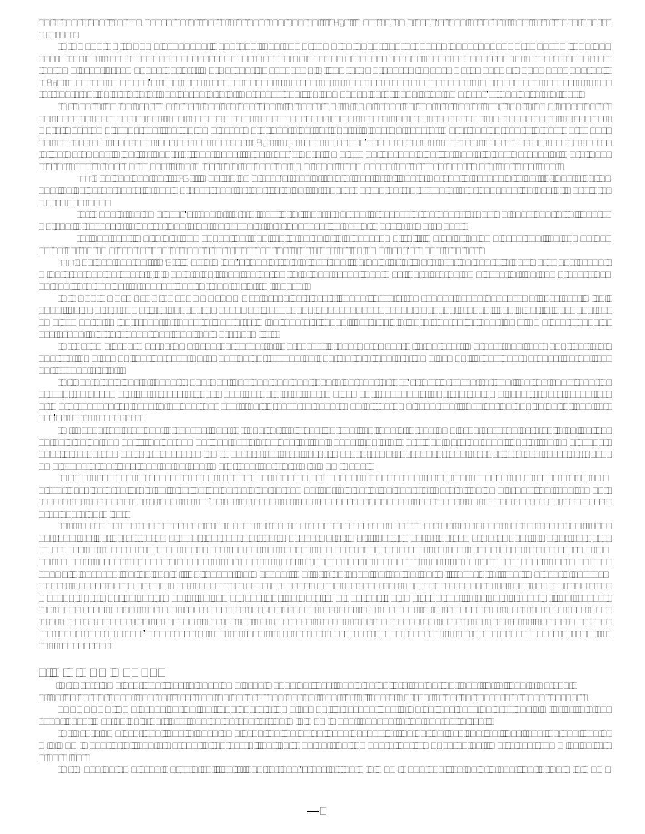duty hours shall be compensated at the rate of one and one-half (11/2) times the employee's regular rate of pay for all such hours worked.

 (B) No LIVE-IN employee shall be required to work more than five (5) days in any one workweek without a day off of not less than 24 consecutive hours except in an emergency as defined in subsection 2(D), provided that the employee is compensated for time worked in excess of five (5) workdays in any workweek at one and one-half  $(1<sup>1</sup>/<sub>2</sub>)$  times the employee's regular rate of pay for hours worked up to and including nine (9) hours. Time worked in excess of nine (9) hours on the sixth (6th) and seventh (7th) workdays shall be compensated at double the employee's regular rate of pay.

 (C) The following overtime provisions are applicable to non-LIVE-IN employees 18 years of age or over and to employees 16 or 17 years of age who are not required by law to attend school and are not otherwise prohibited by law from engaging in the subject work. Such employees shall not be employed more than eight (8) hours in any workday or more than 40 hours in any workweek unless the employee receives one and one-half  $(11/2)$  times such employee's regular rate of pay for all hours worked over 40 hours in the workweek. Eight (8) hours of labor constitutes a day's work. Employment beyond eight (8) hours in any workday or more than six (6) days in any workweek is permissible provided the employee is compensated for such overtime at not less than:

(1) One and one-half (1½) times the employee's regular rate of pay for all hours worked in excess of eight (8) hours up to and including 12 hours in any workday, and for the first eight (8) hours worked on the seventh (7th) consecutive day of work in a workweek; and

(2) Double the employee's regular rate of pay for all hours worked in excess of 12 hours in any workday and for all hours worked in excess of eight (8) hours on the seventh (7th) consecutive day of work in a workweek.

 (3) The overtime rate of compensation required to be paid to a nonexempt full-time salaried employee shall be computed by using the employee's regular hourly salary as one-fortieth (1/40) of the employee's weekly salary.

 (D) One and one-half (11/2) times a minor's regular rate of pay shall be paid for all work over 40 hours in any workweek except minors 16 and 17 years old who are not required by law to attend school and may therefore be employed for the same hours as an adult are subject to subsections (A) and (B) or (C) above.

 (**VIOLATIONS OF CHILD LABOR LAWS** are subject to civil penalties of from \$500 to \$10,000 as well as to criminal penalties. Refer to California Labor Code Sections 1285 to 1312 a nd 1390 to 1399 for additional restrictions on the employment of minors and for descriptions of criminal and civil penalties for violation of the child labor laws. Employers should ask school districts about any required work permits.)

 (E) An employee may be employed on seven (7) workdays in one workweek with no overtime pay required when the total hours of employment during such workweek do not exceed 30 and the total hours of employment in any one workday thereof do not exceed six (6).

 (F) The provisions of Labor Code Sections 551 and 552 regarding one (1) day's rest in seven (7) shall not be construed to prevent an accumulation of days of rest when the nature of the employment reasonably requires the employee to work seven (7) or more consecutive days; provided, however, that in each calendar month, the employee shall receive the equivalent of one (1) day's rest in seven (7).

 (G) Except as provided in subsections (D) and (F), this section shall not apply to any employee covered by a valid collective bargaining agreement if the agreement expressly provides for the wages, hours of work, and working conditions of the employees, and if the agreement provides premium wage rates for all overtime hours worked and a regular hourly rate of pay for those employees of not less than 30 percent more than the state minimum wage.

 (H) Notwithstanding subsection (G) above, where the employer and a labor organization representing employees of the em- ployer have entered into a valid collective bargaining agreement pertaining to the hours of work of the employees, the requirement regarding the equivalent of one (1) day's rest in seven (7) (see subsection (F) above) shall apply, unless the agreement expressly provides otherwise.

 (I) If an employer approves a written request of an employee to make up work time that is or would be lost as a result of a personal obligation of the employee, the hours of that makeup work time, if performed in the same workweek in which the work time was lost, may not be counted toward computing the total number of hours worked in a day for purposes of the overtime re- quirements, except for hours in excess of 11 hours of work in one (1) day or 40 hours of work in one (1) workweek. If an employee knows in advance that he/she will be requesting makeup time for a personal obligation that will recur at a fixed time over a succes- sion of weeks, the employee may request to make up work time for up to four (4) weeks in advance; provided, however, that the makeup work must be performed in the same week that the work time was lost. An employee shall provide a signed written request for each occasion that the employee makes a request to make up work time pursuant to this subsection. While an employer may inform an employee of this makeup time option, the employer is prohibited from encouraging or otherwise soliciting an employee to request the employer's approval to take personal time off and make up the work hours within the same workweek pursuant to this subsection.

### **4. MINIMUM WAGES**

(A) Every employer shall pay to each employee wages not less than nine dollars (\$9.00) per hour for all hours worked,

effective July 1, 2014, and not less than ten dollars (\$10.00) per hour for all hours worked, effective January 1, 2016, except:

 LEARNERS: Employees during their 160 hours of employment in occupations in which they have no previous similar or related experience, may be paid not less than 85 percent of the minimum wage rounded to the nearest nickel.

 (B) Every employer shall pay to each employee, on the established payday for the period involved, not less than the applicable minimum wage for all hours worked in the payroll period, whether the remuneration is measured by time, piece, commission, or otherwise.

(C) When an employee works a split shift, one (1) hour's pay at the minimum wage shall be paid in addition to the minimum

 $\overline{A}$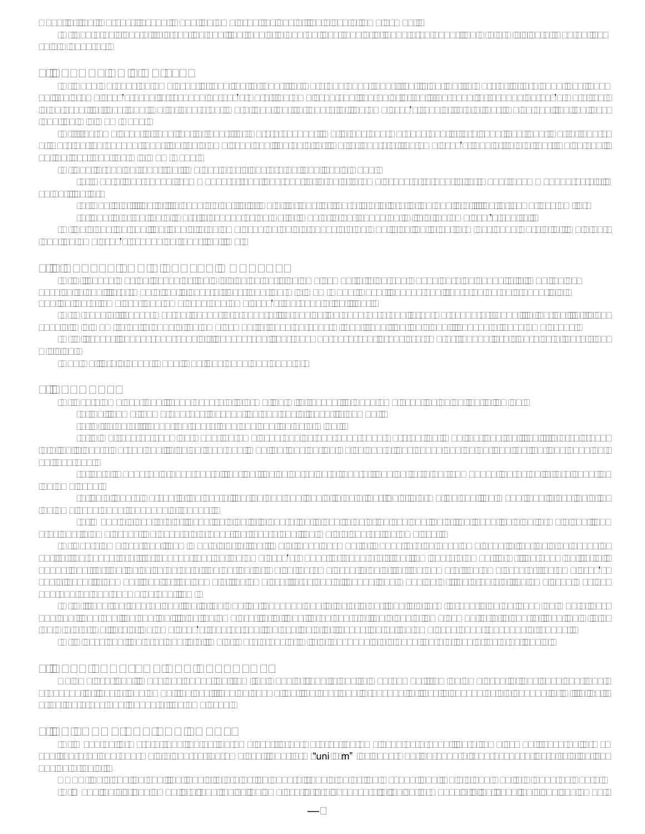wage for that workday, except when the employee resides at the place of employment.

 (D) The provisions of this section shall not apply to apprentices regularly indentured under the State Division of Apprenticeship Standards.

### **5. REPORTING TIME PAY**

 half said employee's usual or scheduled day's work, the employee shall be paid for half the usual or scheduled day's work, but in no event for less than two (2) hours nor more than four (4) hours, at the employee's regular rate of pay, which shall not be less (A) Each workday an employee is required to report for work and does report, but is not put to work or is furnished less than than the minimum wage.

 (B) If an employee is required to report for work a second time in any one workday and is furnished less than two (2) hours of work on the second reporting, said employee shall be paid for two (2) hours at the employee's regular rate of pay, which shall not be less than the minimum wage.

(C) The foregoing reporting time pay provisions are not applicable when:

 (1) Operations cannot commence or continue due to threats to employees or property; or when recommended by civil authorities; or

(2) Public utilities fail to supply electricity, water, or gas, or there is a failure in the public utilities, or sewer system; or

(3) The interruption of work is caused by an Act of God or other cause not within the employer's control.

 (D) This section shall not apply to an employee on paid standby status who is called to perform assigned work at a time other than the employee's scheduled reporting time.

### **6. LICENSES FOR DISABLED WORKERS**

 physical disability or mental deficiency at less than the minimum wage. Such licenses shall be granted only upon joint (A) A license may be issued by the Division authorizing employment of a person whose earning capacity is impaired by application of employer and employee and employee's representative if any.

 (B) A special license may be issued to a nonprofit organization such as a sheltered workshop or rehabilitation facility fixing special minimum rates to enable the employment of such persons without requiring individual licenses of such employees.

 (C) All such licenses and special licenses shall be renewed on a yearly basis or more frequently at the discretion of the Division.

(See California Labor Code, Sections 1191 and 1191.5)

### **7. RECORDS**

(A) Every employer shall keep accurate information with respect to each employee including the following:

(1) Full name, home address, occupation and social security number.

(2) Birth date, if under 18 years, and designation as a minor.

 (3) Time records showing when the employee begins and ends each work period. Meal periods, split shift intervals and total daily hours worked shall also be recorded. Meal periods during which operations cease and authorized rest periods need not be recorded.

(4) Total wages paid each payroll period, including value of board, lodging, or other compensation actually furnished to the employee.

 (5) Total hours worked in the payroll period and applicable rates of pay. This information shall be made readily available to the employee upon reasonable request.

 (6) When a piece rate or incentive plan is in operation, piece rates or an explanation of the incentive plan formula shall be provided to employees. An accurate production record shall be maintained by the employer.

 (B) Every employer shall semimonthly or at the time of each payment of wages furnish each employee, either as a detachable part of the check, draft, or voucher paying the employee's wages, or separately, an itemized statement in writing showing: (1) all deductions; (2) the inclusive dates of the period for which the employee is paid; (3) the name of the employee or the employee's social security number; and (4) the name of the employer, provided all deductions made on written orders of the employee may be aggregated and shown as one item.

 (C) All required records shall be in the English language and in ink or other indelible form, properly dated, showing month, day and year, and shall be kept on file by the employer for at least three years at the place of employment or at a central location within the State of California. An employee's records shall be available for inspection by the employee upon reasonable request.

(D) Clocks shall be provided in all major work areas or within reasonable distance thereto insofar as practicable.

### **8. CASH SHORTAGE AND BREAKAGE**

 breakage, or loss of equipment, unless it can be shown that the shortage, breakage, or loss is caused by a dishonest or willful act, No employer shall make any deduction from the wage or require any reimbursement from an employee for any cash shortage, or by the gross negligence of the employee.

### **9. UNIFORMS AND EQUIPMENT**

shall be provided and maintained by the employer. The term "uniform" includes wearing apparel and accessories of distinctive (A) When uniforms are required by the employer to be worn by the employee as a condition of employment, such uniforms design or color.

 (B) When tools or equipment are required by the employer or are necessary to the performance of a job, such tools and equipment **NOTE:** This section shall not apply to protective apparel regulated by the Occupational Safety and Health Standards Board.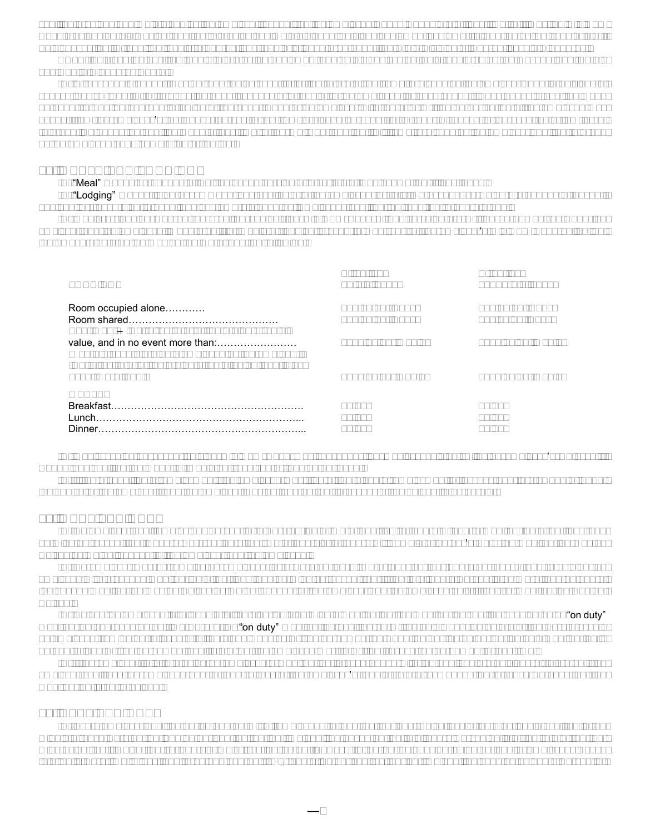shall be provided and maintained by the employer, except that an employee whose wages are at least two (2) times the minimum wage provided herein may be required to provide and maintain hand tools and equipment customarily required by the trade or craft. This subsection (B) shall not apply to apprentices regularly indentured under the State Division of Apprenticeship Standards.

 **NOTE:** This section shall not apply to protective equipment and safety devices on tools regulated by the Occupational Safety and Health Standards Board.

 (C) A reasonable deposit may be required as security for the return of the items furnished by the employer under provisions of subsections (A) and (B) of this section upon issuance of a receipt to the employee for such deposit. Such deposits shall be made pursuant to Section 400 and following of the Labor Code or an employer with the prior written authorization of the employee may deduct from the employee's last check the cost of an item furnished pursuant to (A) and (B) above in the event said item is not returned. No deduction shall be made at any time for normal wear and tear. All items furnished by the employer shall be returned by the employee upon completion of the job.

### **10. MEALS AND LODGING**

(A) "Meal" means an adequate, well-balanced serving of a variety of wholesome, nutritious foods.

(B) "Lodging" means living accommodations available to the employee for full-time occupancy which are adequate, decent, and sanitary according to usual and customary standards. Employees shall not be required to share a bed.

 (C) Meals or lodging may not be credited against the minimum wage without a voluntary written agreement between the employer and the employee. When credit for meals or lodging is used to meet part of the employer's minimum wage obligation, the amounts so credited may not be more than the following:

| <b>LODGING</b>                                                                                                                                     | <b>Effective</b><br><b>July 1, 2014</b> | <b>Effective</b><br><b>January 1, 2016</b> |
|----------------------------------------------------------------------------------------------------------------------------------------------------|-----------------------------------------|--------------------------------------------|
| Room occupied alone<br>Apartment – two thirds $(2/3)$ of the ordinary rental                                                                       | \$42.33 per week<br>\$34.94 per week    | \$47.03 per week<br>\$38.82 per week       |
| value, and in no event more than:<br>Where a couple are both employed by the employer,<br>two thirds (2/3) of the ordinary rental value, and in no | \$508.38 per month                      | \$564.81 per month                         |
| event more than:                                                                                                                                   | \$752.02 per month                      | \$835.49 per month                         |
| <b>MEALS</b>                                                                                                                                       |                                         |                                            |
|                                                                                                                                                    | \$3.26                                  | \$3.62                                     |
|                                                                                                                                                    | \$4.47                                  | \$4.97                                     |
|                                                                                                                                                    | \$6.01                                  | \$6.68                                     |

 (D) Meals evaluated as part of the minimum wage must be bona fide meals consistent with the employee's work shift. Deductions shall not be made for meals not received or lodging not used.

 (E) If, as a condition of employment, the employee must live at the place of employment or occupy quarters owned or under the control of the employer, then the employer may not charge rent in excess of the values listed herein.

### **11. MEAL PERIODS**

 (A) No employer shall employ any person for a work period of more than five (5) hours without a meal period of not less than 30 minutes, except that when a work period of not more than six (6) hours will complete the day's work the meal period may be waived by mutual consent of the employer and the employee.

 (B) An employer may not employ an employee for a work period of more than ten (10) hours per day without providing the employee with a second meal period of not less than 30 minutes, except that if the total hours worked is no more than 12 hours, the second meal period may be waived by mutual consent of the employer and the employee only if the first meal period was not waived.

(C) Unless the employee is relieved of all duty during a 30 minute meal period, the meal period shall be considered an "on duty" meal period and counted as time worked. An "on duty" meal period shall be permitted only when the nature of the work prevents an employee from being relieved of all duty and when by written agreement between the parties an on-the-job paid meal period is agreed to. The written agreement shall state that the employee may, in writing, revoke the agreement at any time.

 (D) If an employer fails to provide an employee a meal period in accordance with the applicable provisions of this order, the employer shall pay the employee one (1) hour of pay at the employee's regular rate of compensation for each workday that the meal period is not provided.

### **12. REST PERIODS**

 (A) Every employer shall authorize and permit all employees to take rest periods, which insofar as practicable shall be in the middle of each work period. The authorized rest period time shall be based on the total hours worked daily at the rate of ten (10) minutes net rest time per four (4) hours or major fraction thereof. However, a rest period need not be authorized for employees whose total daily work time is less than three and one-half  $(3<sup>1</sup>/<sub>2</sub>)$  hours. Authorized rest period time shall be counted as hours worked for

—6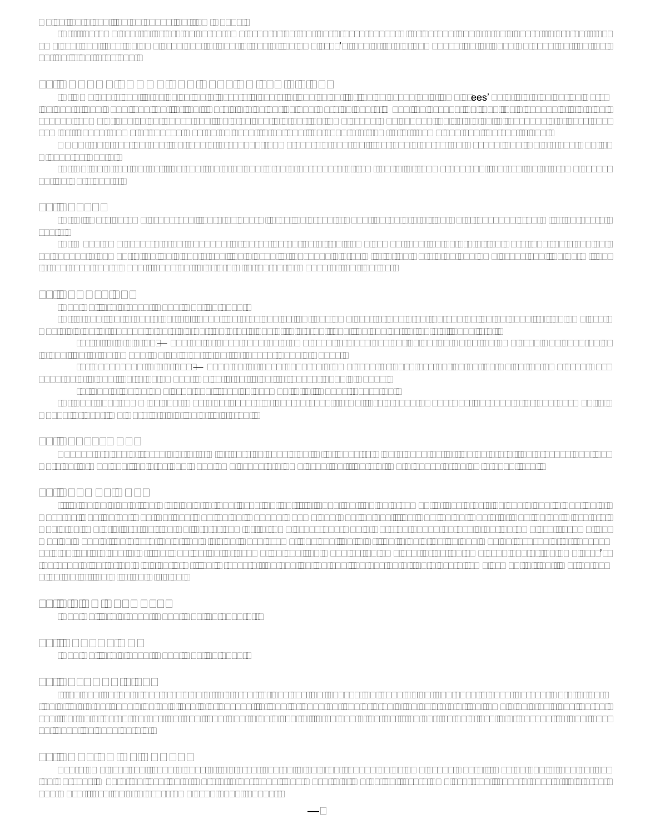which there shall be no deduction from wages.

 (B) If an employer fails to provide an employee a rest period in accordance with the applicable provisions of this order, the employer shall pay the employee one (1) hour of pay at the employee's regular rate of compensation for each workday that the rest period is not provided.

### **13. CHANGE ROOMS AND RESTING FACILITIES**

 ing hours, and when required, for their work clothing during non-working hours. When the occupation requires a change of clothing, change rooms or equivalent space shall be provided in order that employees may change their clothing in reasonable privacy and (A) Employers shall provide suitable lockers, closets, or equivalent for the safekeeping of employees'outer clothing during workcomfort. These rooms or spaces may be adjacent to but shall be separate from toilet rooms and shall be kept clean.

 **NOTE:** This section shall not apply to change rooms and storage facilities regulated by the Occupational Safety and Health Standards Board.

 (B) Suitable resting facilities shall be provided in an area separate from the toilet rooms and shall be available to employees during work hours.

### **14. SEATS**

 (A) All working employees shall be provided with suitable seats when the nature of the work reasonably permits the use of seats.

 (B) When employees are not engaged in the active duties of their employment and the nature of the work requires standing, an adequate number of suitable seats shall be placed in reasonable proximity to the work area and employees shall be permitted to use such seats when it does not interfere with the performance of their duties.

### **15. PENALTIES**

(See California Labor Code, Section 1199)

 (A) In addition to any other civil penalties provided by law, any employer or any other person acting on behalf of the employer who violates, or causes to be violated, the provisions of this order, shall be subject to the civil penalty of:

 (1) Initial Violation — \$50.00 for each underpaid employee for each pay period during which the employee was underpaid in addition to the amount which is sufficient to recover unpaid wages.

(2) Subsequent Violations — \$100.00 for each underpaid employee for each pay period during which the employee was underpaid in addition to an amount which is sufficient to recover unpaid wages.

(3) The affected employee shall receive payment of all wages recovered.

 (B) The labor commissioner may also issue citations pursuant to California Labor Code Section 1197.1 for non-payment of wages for overtime work in violation of this order.

### **16. ELEVATORS**

 Adequate elevator, escalator or similar service consistent with industry-wide standards for the nature of the process and the work performed shall be provided when employees are employed four floors or more above or below ground level.

### **17. EXEMPTIONS**

 If, in the opinion of the Division after due investigation, it is found that the enforcement of any provision contained in Section 7, Records; Section 12, Rest Periods; Section 13, Change Rooms and Resting Facilities; Section 14, Seats; or Section 16, Elevators, would not materially affect the welfare or comfort of employees and would work an undue hardship on the employer, exemption may be made at the discretion of the Division. Such exemptions shall be in writing to be effective and may be revoked after reason- able notice is given in writing. Application for exemption shall be made by the employer or by the employee and/or the employee's representative to the Division in writing. A copy of the application shall be posted at the place of employment at the time the application is filed with the Division.

### **18. FILING REPORTS**

(See California Labor Code, Section 1174(a))

### **19. INSPECTION**

(See California Labor Code, Section 1174)

### **20. SEPARABILITY**

 If the application of any provision of this order, or any section, subsection, subdivision, sentence, clause, phrase, word, or por- tion of this order should be held invalid or unconstitutional or unauthorized or prohibited by statute, the remaining provisions thereof shall not be affected thereby, but shall continue to be given full force and effect as if the part so held invalid or unconstitutional had not been included herein.

### **21. POSTING OF ORDER**

 Every employer shall keep a copy of this order posted in an area frequented by employees where it may be easily read during the workday. Where the location of work or other conditions make this impractical, every employer shall keep a copy of this order and make it available to every employee upon request.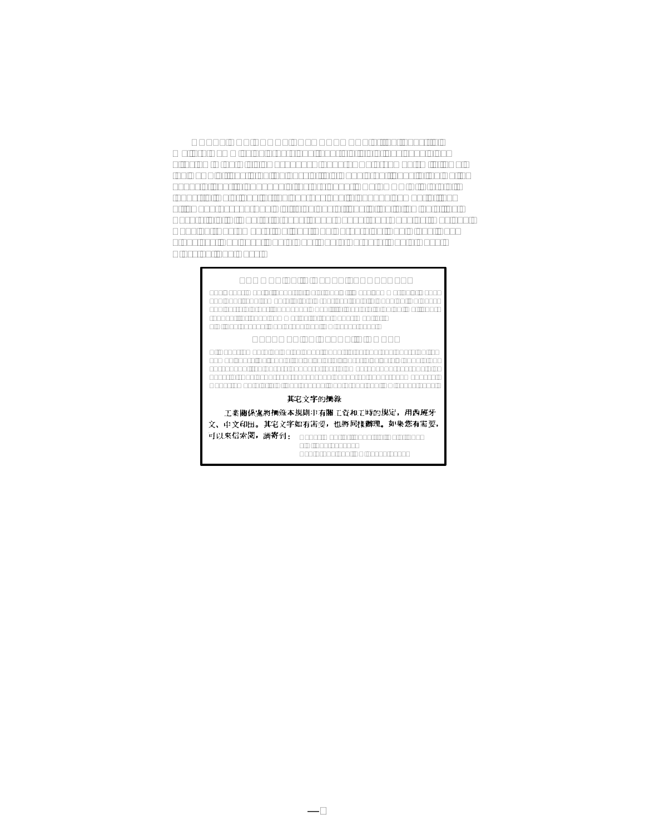Welfare Commission orders and reports of violations should be directed to the Division of Labor Standards Enforcement.A listing of the DLSE offices is on the back of this wage order. Look in the white pages of your tele- phone directory under CALIFORNIA, State of, Industrial Relations for the address and telephone number of the office nearest you.The Divi- sion has offices in the following cities: Bakersfield, El Centro, Fresno, Long Beach, Los Angeles, Oakland, Redding, Sacramento, Salinas, San Bernardino, San Diego, San Stockton, Van Nuys. **QUESTIONS ABOUT ENFORCEMENT** of the Industrial Francisco, San Jose, Santa Ana, Santa Barbara, Santa Rosa,

#### **SUMMARIES IN OTHER LANGUAGES**

 **The Department of Industrial Relations will make summaries of wage and hour requirements in this Order available in Spanish, Chinese and certain other languages when it is feasible to do so. Mail your request for such summaries to the Department at: P.O. box 420603, San Francisco, CA 94142-0603.** 

#### **RESUMEN EN OTROS IDIOMAS**

 **El Departamento de Relaciones Industriales confeccionara un re- sumen sobre los requisitos de salario y horario de esta Disposicion en español, chino y algunos otros idiomas cuando sea posible hacerlo. Envie por correo su pedido por dichos resumenes al Departamento a: P.O. box 420603, San Francisco, CA 94142-0603.** 

#### 其它文字的摘錄

工業關係處將摘錄本規則中有關工資和工時的規定,用西班牙 文、中文印出。其宅文字如有需要,也將同樣辦理。如果您有需要,  **Department of Industrial Relations P.O. box 420603 San Francisco, CA 94142-0603**